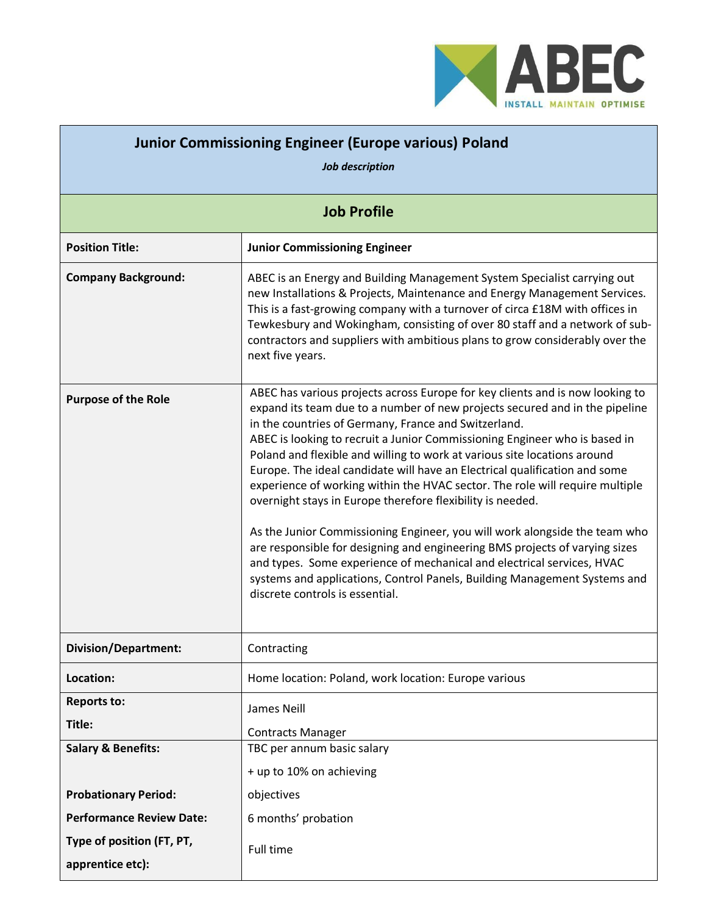

| <b>Junior Commissioning Engineer (Europe various) Poland</b><br>Job description |                                                                                                                                                                                                                                                                                                                                                                                                                                                                                                                                                                                                                                                                                                                                                                                                                                                                                                                                                                   |  |
|---------------------------------------------------------------------------------|-------------------------------------------------------------------------------------------------------------------------------------------------------------------------------------------------------------------------------------------------------------------------------------------------------------------------------------------------------------------------------------------------------------------------------------------------------------------------------------------------------------------------------------------------------------------------------------------------------------------------------------------------------------------------------------------------------------------------------------------------------------------------------------------------------------------------------------------------------------------------------------------------------------------------------------------------------------------|--|
| <b>Job Profile</b>                                                              |                                                                                                                                                                                                                                                                                                                                                                                                                                                                                                                                                                                                                                                                                                                                                                                                                                                                                                                                                                   |  |
| <b>Position Title:</b>                                                          | <b>Junior Commissioning Engineer</b>                                                                                                                                                                                                                                                                                                                                                                                                                                                                                                                                                                                                                                                                                                                                                                                                                                                                                                                              |  |
| <b>Company Background:</b>                                                      | ABEC is an Energy and Building Management System Specialist carrying out<br>new Installations & Projects, Maintenance and Energy Management Services.<br>This is a fast-growing company with a turnover of circa £18M with offices in<br>Tewkesbury and Wokingham, consisting of over 80 staff and a network of sub-<br>contractors and suppliers with ambitious plans to grow considerably over the<br>next five years.                                                                                                                                                                                                                                                                                                                                                                                                                                                                                                                                          |  |
| <b>Purpose of the Role</b>                                                      | ABEC has various projects across Europe for key clients and is now looking to<br>expand its team due to a number of new projects secured and in the pipeline<br>in the countries of Germany, France and Switzerland.<br>ABEC is looking to recruit a Junior Commissioning Engineer who is based in<br>Poland and flexible and willing to work at various site locations around<br>Europe. The ideal candidate will have an Electrical qualification and some<br>experience of working within the HVAC sector. The role will require multiple<br>overnight stays in Europe therefore flexibility is needed.<br>As the Junior Commissioning Engineer, you will work alongside the team who<br>are responsible for designing and engineering BMS projects of varying sizes<br>and types. Some experience of mechanical and electrical services, HVAC<br>systems and applications, Control Panels, Building Management Systems and<br>discrete controls is essential. |  |
| <b>Division/Department:</b>                                                     | Contracting                                                                                                                                                                                                                                                                                                                                                                                                                                                                                                                                                                                                                                                                                                                                                                                                                                                                                                                                                       |  |
| Location:                                                                       | Home location: Poland, work location: Europe various                                                                                                                                                                                                                                                                                                                                                                                                                                                                                                                                                                                                                                                                                                                                                                                                                                                                                                              |  |
| <b>Reports to:</b><br>Title:                                                    | James Neill<br><b>Contracts Manager</b>                                                                                                                                                                                                                                                                                                                                                                                                                                                                                                                                                                                                                                                                                                                                                                                                                                                                                                                           |  |
| <b>Salary &amp; Benefits:</b>                                                   | TBC per annum basic salary                                                                                                                                                                                                                                                                                                                                                                                                                                                                                                                                                                                                                                                                                                                                                                                                                                                                                                                                        |  |
|                                                                                 | + up to 10% on achieving                                                                                                                                                                                                                                                                                                                                                                                                                                                                                                                                                                                                                                                                                                                                                                                                                                                                                                                                          |  |
| <b>Probationary Period:</b>                                                     | objectives                                                                                                                                                                                                                                                                                                                                                                                                                                                                                                                                                                                                                                                                                                                                                                                                                                                                                                                                                        |  |
| <b>Performance Review Date:</b>                                                 | 6 months' probation                                                                                                                                                                                                                                                                                                                                                                                                                                                                                                                                                                                                                                                                                                                                                                                                                                                                                                                                               |  |
| Type of position (FT, PT,<br>apprentice etc):                                   | Full time                                                                                                                                                                                                                                                                                                                                                                                                                                                                                                                                                                                                                                                                                                                                                                                                                                                                                                                                                         |  |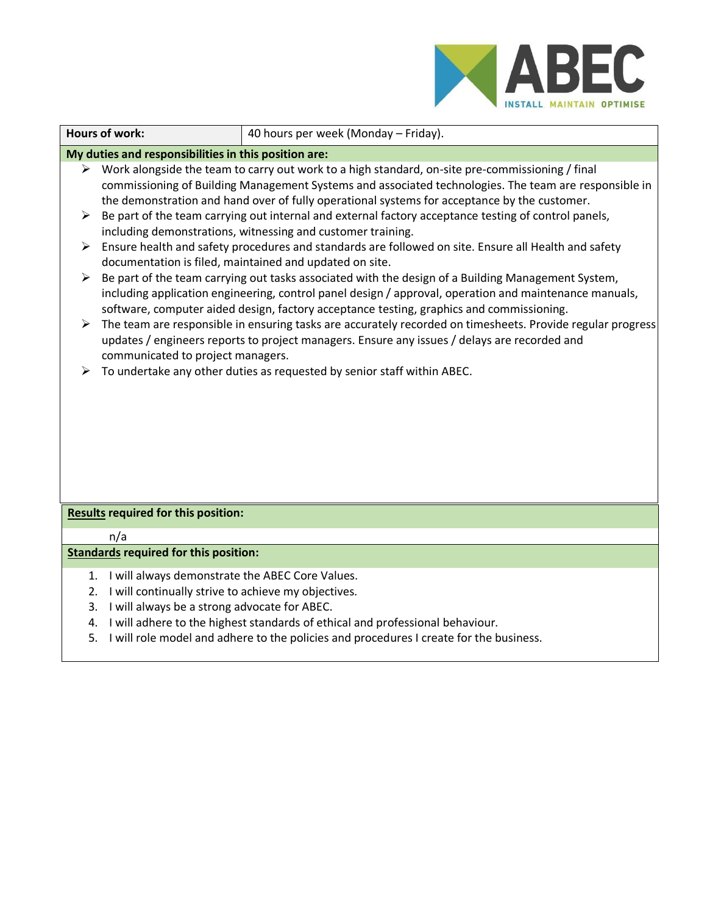

| <b>Hours of work:</b>                                |                                                                                                                                                                                                                                                                                                                                                                                                                                                                                                                                                                                                                                                                                                                                                                                                                                                                                                                                                                                                                                                                                                                                                                                                                                                                                              | 40 hours per week (Monday - Friday).                                                                                                                                    |
|------------------------------------------------------|----------------------------------------------------------------------------------------------------------------------------------------------------------------------------------------------------------------------------------------------------------------------------------------------------------------------------------------------------------------------------------------------------------------------------------------------------------------------------------------------------------------------------------------------------------------------------------------------------------------------------------------------------------------------------------------------------------------------------------------------------------------------------------------------------------------------------------------------------------------------------------------------------------------------------------------------------------------------------------------------------------------------------------------------------------------------------------------------------------------------------------------------------------------------------------------------------------------------------------------------------------------------------------------------|-------------------------------------------------------------------------------------------------------------------------------------------------------------------------|
| My duties and responsibilities in this position are: |                                                                                                                                                                                                                                                                                                                                                                                                                                                                                                                                                                                                                                                                                                                                                                                                                                                                                                                                                                                                                                                                                                                                                                                                                                                                                              |                                                                                                                                                                         |
| ➤<br>➤<br>➤<br>➤<br>➤<br>➤                           | Work alongside the team to carry out work to a high standard, on-site pre-commissioning / final<br>commissioning of Building Management Systems and associated technologies. The team are responsible in<br>the demonstration and hand over of fully operational systems for acceptance by the customer.<br>Be part of the team carrying out internal and external factory acceptance testing of control panels,<br>including demonstrations, witnessing and customer training.<br>Ensure health and safety procedures and standards are followed on site. Ensure all Health and safety<br>documentation is filed, maintained and updated on site.<br>Be part of the team carrying out tasks associated with the design of a Building Management System,<br>including application engineering, control panel design / approval, operation and maintenance manuals,<br>software, computer aided design, factory acceptance testing, graphics and commissioning.<br>The team are responsible in ensuring tasks are accurately recorded on timesheets. Provide regular progress<br>updates / engineers reports to project managers. Ensure any issues / delays are recorded and<br>communicated to project managers.<br>To undertake any other duties as requested by senior staff within ABEC. |                                                                                                                                                                         |
| <b>Results required for this position:</b>           |                                                                                                                                                                                                                                                                                                                                                                                                                                                                                                                                                                                                                                                                                                                                                                                                                                                                                                                                                                                                                                                                                                                                                                                                                                                                                              |                                                                                                                                                                         |
|                                                      | n/a                                                                                                                                                                                                                                                                                                                                                                                                                                                                                                                                                                                                                                                                                                                                                                                                                                                                                                                                                                                                                                                                                                                                                                                                                                                                                          |                                                                                                                                                                         |
|                                                      | <b>Standards required for this position:</b>                                                                                                                                                                                                                                                                                                                                                                                                                                                                                                                                                                                                                                                                                                                                                                                                                                                                                                                                                                                                                                                                                                                                                                                                                                                 |                                                                                                                                                                         |
| 1.<br>3.<br>4.<br>5.                                 | I will always demonstrate the ABEC Core Values.<br>2. I will continually strive to achieve my objectives.<br>I will always be a strong advocate for ABEC.                                                                                                                                                                                                                                                                                                                                                                                                                                                                                                                                                                                                                                                                                                                                                                                                                                                                                                                                                                                                                                                                                                                                    | I will adhere to the highest standards of ethical and professional behaviour.<br>I will role model and adhere to the policies and procedures I create for the business. |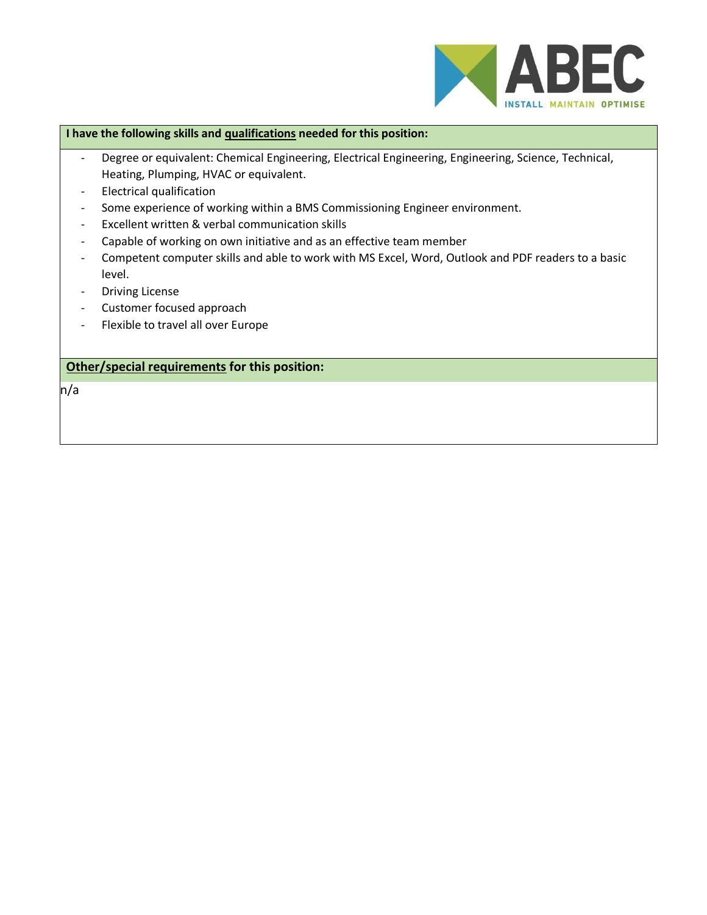

## **I have the following skills and qualifications needed for this position:**

- Degree or equivalent: Chemical Engineering, Electrical Engineering, Engineering, Science, Technical, Heating, Plumping, HVAC or equivalent.
- Electrical qualification
- Some experience of working within a BMS Commissioning Engineer environment.
- Excellent written & verbal communication skills
- Capable of working on own initiative and as an effective team member
- Competent computer skills and able to work with MS Excel, Word, Outlook and PDF readers to a basic level.
- Driving License
- Customer focused approach
- Flexible to travel all over Europe

## **Other/special requirements for this position:**

n/a